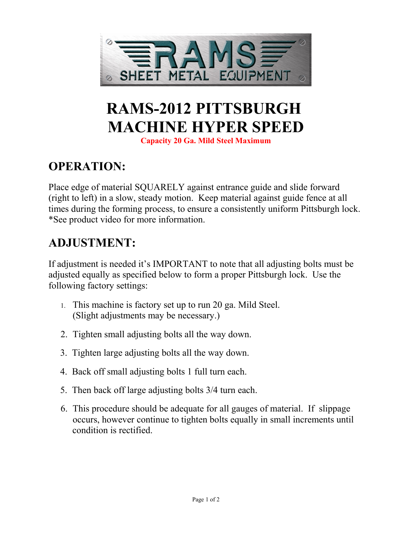

# **RAMS-2012 PITTSBURGH MACHINE HYPER SPEED**

**Capacity 20 Ga. Mild Steel Maximum**

## **OPERATION:**

Place edge of material SQUARELY against entrance guide and slide forward (right to left) in a slow, steady motion. Keep material against guide fence at all times during the forming process, to ensure a consistently uniform Pittsburgh lock. \*See product video for more information.

#### **ADJUSTMENT:**

If adjustment is needed it's IMPORTANT to note that all adjusting bolts must be adjusted equally as specified below to form a proper Pittsburgh lock. Use the following factory settings:

- 1. This machine is factory set up to run 20 ga. Mild Steel. (Slight adjustments may be necessary.)
- 2. Tighten small adjusting bolts all the way down.
- 3. Tighten large adjusting bolts all the way down.
- 4. Back off small adjusting bolts 1 full turn each.
- 5. Then back off large adjusting bolts 3/4 turn each.
- 6. This procedure should be adequate for all gauges of material. If slippage occurs, however continue to tighten bolts equally in small increments until condition is rectified.